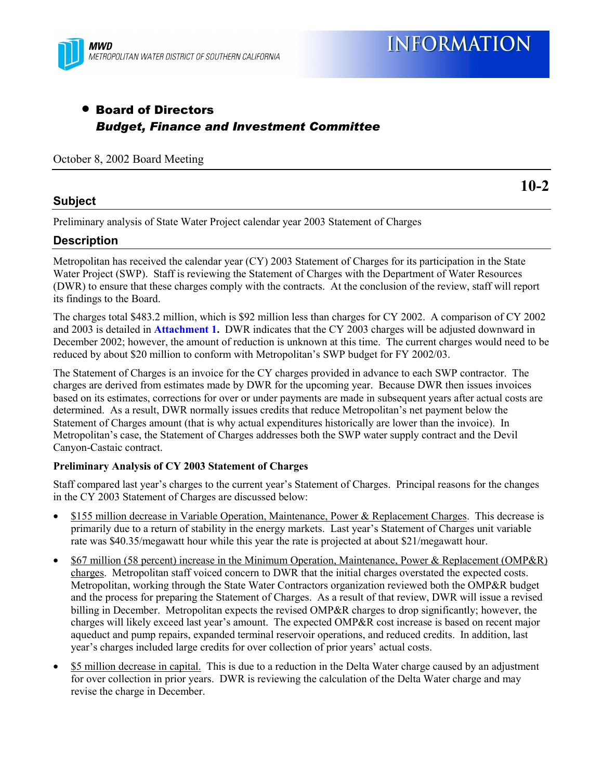

# • Board of Directors *Budget, Finance and Investment Committee*

#### October 8, 2002 Board Meeting

### **Subject**

**10-2**

Preliminary analysis of State Water Project calendar year 2003 Statement of Charges

### **Description**

Metropolitan has received the calendar year (CY) 2003 Statement of Charges for its participation in the State Water Project (SWP). Staff is reviewing the Statement of Charges with the Department of Water Resources (DWR) to ensure that these charges comply with the contracts. At the conclusion of the review, staff will report its findings to the Board.

The charges total \$483.2 million, which is \$92 million less than charges for CY 2002. A comparison of CY 2002 and 2003 is detailed in **Attachment 1.** DWR indicates that the CY 2003 charges will be adjusted downward in December 2002; however, the amount of reduction is unknown at this time. The current charges would need to be reduced by about \$20 million to conform with Metropolitan's SWP budget for FY 2002/03.

The Statement of Charges is an invoice for the CY charges provided in advance to each SWP contractor. The charges are derived from estimates made by DWR for the upcoming year. Because DWR then issues invoices based on its estimates, corrections for over or under payments are made in subsequent years after actual costs are determined. As a result, DWR normally issues credits that reduce Metropolitan's net payment below the Statement of Charges amount (that is why actual expenditures historically are lower than the invoice). In Metropolitan's case, the Statement of Charges addresses both the SWP water supply contract and the Devil Canyon-Castaic contract.

### **Preliminary Analysis of CY 2003 Statement of Charges**

Staff compared last year's charges to the current year's Statement of Charges. Principal reasons for the changes in the CY 2003 Statement of Charges are discussed below:

- \$155 million decrease in Variable Operation, Maintenance, Power & Replacement Charges. This decrease is primarily due to a return of stability in the energy markets. Last year's Statement of Charges unit variable rate was \$40.35/megawatt hour while this year the rate is projected at about \$21/megawatt hour.
- \$67 million (58 percent) increase in the Minimum Operation, Maintenance, Power & Replacement (OMP&R) charges. Metropolitan staff voiced concern to DWR that the initial charges overstated the expected costs. Metropolitan, working through the State Water Contractors organization reviewed both the OMP&R budget and the process for preparing the Statement of Charges. As a result of that review, DWR will issue a revised billing in December. Metropolitan expects the revised OMP&R charges to drop significantly; however, the charges will likely exceed last year's amount. The expected OMP&R cost increase is based on recent major aqueduct and pump repairs, expanded terminal reservoir operations, and reduced credits. In addition, last year's charges included large credits for over collection of prior years' actual costs.
- \$5 million decrease in capital. This is due to a reduction in the Delta Water charge caused by an adjustment for over collection in prior years. DWR is reviewing the calculation of the Delta Water charge and may revise the charge in December.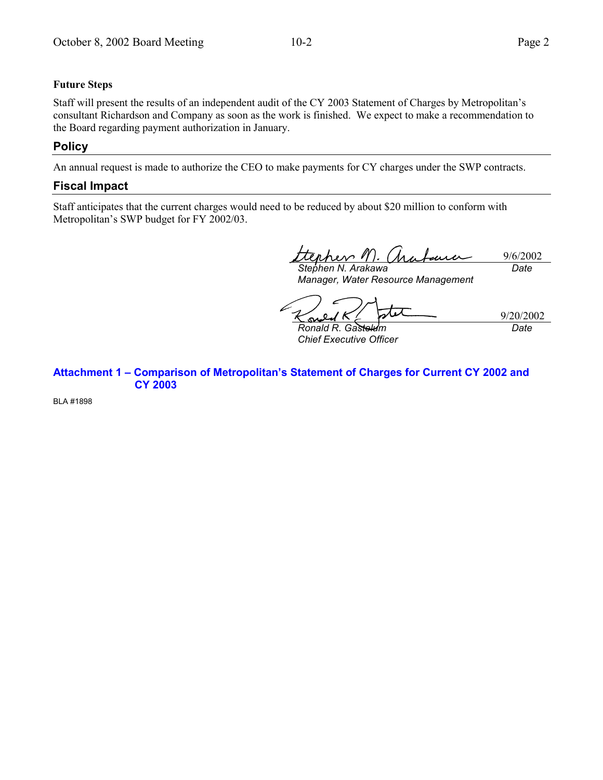### **Future Steps**

Staff will present the results of an independent audit of the CY 2003 Statement of Charges by Metropolitan's consultant Richardson and Company as soon as the work is finished. We expect to make a recommendation to the Board regarding payment authorization in January.

### **Policy**

An annual request is made to authorize the CEO to make payments for CY charges under the SWP contracts.

## **Fiscal Impact**

Staff anticipates that the current charges would need to be reduced by about \$20 million to conform with Metropolitan's SWP budget for FY 2002/03.

9/6/2002 *Stephen N. Arakawa Date*

*Manager, Water Resource Management*

tit 9/20/2002

*Ronald R. Gastelum Chief Executive Officer* *Date*

Attachment 1 - Comparison of Metropolitan's Statement of Charges for Current CY 2002 and **CY 2003**

BLA #1898